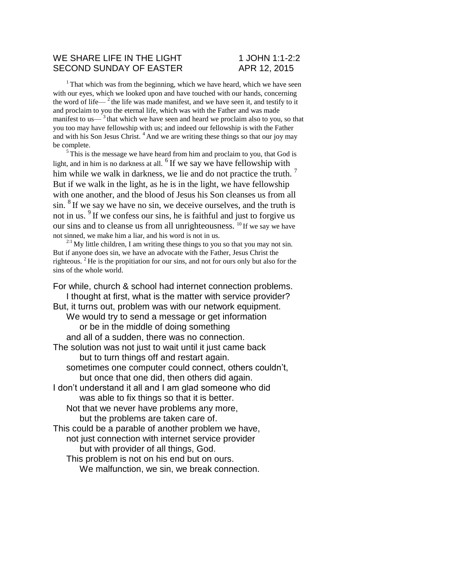### WE SHARE LIFE IN THE LIGHT 1 JOHN 1:1-2:2 SECOND SUNDAY OF EASTER APR 12, 2015

 $1$ <sup>1</sup> That which was from the beginning, which we have heard, which we have seen with our eyes, which we looked upon and have touched with our hands, concerning the word of life— $^2$  the life was made manifest, and we have seen it, and testify to it and proclaim to you the eternal life, which was with the Father and was made manifest to us— $3$ <sup>that</sup> which we have seen and heard we proclaim also to you, so that you too may have fellowship with us; and indeed our fellowship is with the Father and with his Son Jesus Christ.  $4$  And we are writing these things so that our joy may be complete.

 $5$ This is the message we have heard from him and proclaim to you, that God is light, and in him is no darkness at all.  $6$  If we say we have fellowship with him while we walk in darkness, we lie and do not practice the truth.  $\frac{7}{1}$ But if we walk in the light, as he is in the light, we have fellowship with one another, and the blood of Jesus his Son cleanses us from all  $\sin$ . <sup>8</sup> If we say we have no sin, we deceive ourselves, and the truth is not in us. <sup>9</sup>If we confess our sins, he is faithful and just to forgive us our sins and to cleanse us from all unrighteousness. <sup>10</sup>If we say we have not sinned, we make him a liar, and his word is not in us.

 $2:1$  My little children, I am writing these things to you so that you may not sin. But if anyone does sin, we have an advocate with the Father, Jesus Christ the righteous. <sup>2</sup>He is the propitiation for our sins, and not for ours only but also for the sins of the whole world.

For while, church & school had internet connection problems. I thought at first, what is the matter with service provider? But, it turns out, problem was with our network equipment. We would try to send a message or get information or be in the middle of doing something and all of a sudden, there was no connection. The solution was not just to wait until it just came back but to turn things off and restart again. sometimes one computer could connect, others couldn't, but once that one did, then others did again. I don't understand it all and I am glad someone who did was able to fix things so that it is better. Not that we never have problems any more, but the problems are taken care of. This could be a parable of another problem we have, not just connection with internet service provider but with provider of all things, God. This problem is not on his end but on ours.

We malfunction, we sin, we break connection.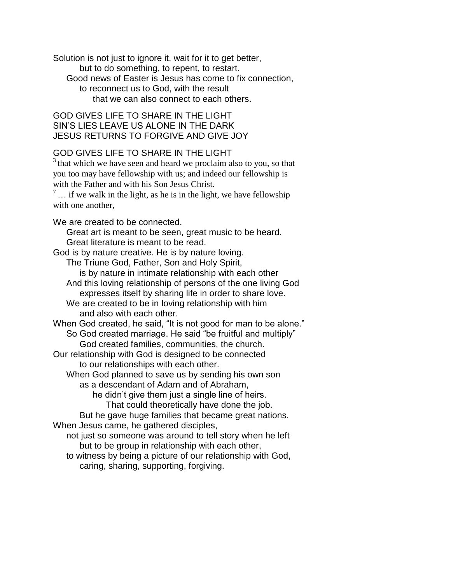Solution is not just to ignore it, wait for it to get better, but to do something, to repent, to restart. Good news of Easter is Jesus has come to fix connection, to reconnect us to God, with the result that we can also connect to each others.

## GOD GIVES LIFE TO SHARE IN THE LIGHT SIN'S LIES LEAVE US ALONE IN THE DARK JESUS RETURNS TO FORGIVE AND GIVE JOY

# GOD GIVES LIFE TO SHARE IN THE LIGHT

 $3$ <sup>3</sup> that which we have seen and heard we proclaim also to you, so that you too may have fellowship with us; and indeed our fellowship is with the Father and with his Son Jesus Christ.

 $\frac{7}{1}$ ... if we walk in the light, as he is in the light, we have fellowship with one another.

We are created to be connected.

Great art is meant to be seen, great music to be heard. Great literature is meant to be read.

God is by nature creative. He is by nature loving.

The Triune God, Father, Son and Holy Spirit,

is by nature in intimate relationship with each other

And this loving relationship of persons of the one living God expresses itself by sharing life in order to share love.

We are created to be in loving relationship with him and also with each other.

When God created, he said, "It is not good for man to be alone." So God created marriage. He said "be fruitful and multiply" God created families, communities, the church.

Our relationship with God is designed to be connected to our relationships with each other.

When God planned to save us by sending his own son as a descendant of Adam and of Abraham,

he didn't give them just a single line of heirs.

That could theoretically have done the job.

But he gave huge families that became great nations. When Jesus came, he gathered disciples,

not just so someone was around to tell story when he left but to be group in relationship with each other,

to witness by being a picture of our relationship with God, caring, sharing, supporting, forgiving.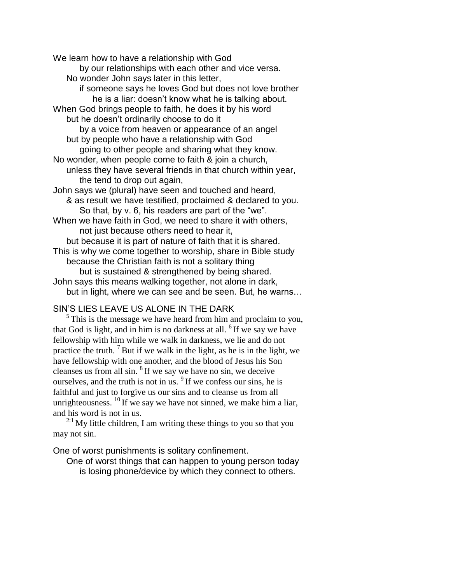We learn how to have a relationship with God by our relationships with each other and vice versa. No wonder John says later in this letter, if someone says he loves God but does not love brother he is a liar: doesn't know what he is talking about. When God brings people to faith, he does it by his word but he doesn't ordinarily choose to do it by a voice from heaven or appearance of an angel but by people who have a relationship with God going to other people and sharing what they know. No wonder, when people come to faith & join a church, unless they have several friends in that church within year, the tend to drop out again, John says we (plural) have seen and touched and heard, & as result we have testified, proclaimed & declared to you. So that, by v. 6, his readers are part of the "we". When we have faith in God, we need to share it with others, not just because others need to hear it, but because it is part of nature of faith that it is shared. This is why we come together to worship, share in Bible study because the Christian faith is not a solitary thing but is sustained & strengthened by being shared. John says this means walking together, not alone in dark, but in light, where we can see and be seen. But, he warns…

## SIN'S LIES LEAVE US ALONE IN THE DARK

<sup>5</sup>This is the message we have heard from him and proclaim to you, that God is light, and in him is no darkness at all.  $6$  If we say we have fellowship with him while we walk in darkness, we lie and do not practice the truth.  $\frac{7}{1}$  But if we walk in the light, as he is in the light, we have fellowship with one another, and the blood of Jesus his Son cleanses us from all sin.  $8$  If we say we have no sin, we deceive ourselves, and the truth is not in us.  $9<sup>9</sup>$  If we confess our sins, he is faithful and just to forgive us our sins and to cleanse us from all unrighteousness.  $^{10}$  If we say we have not sinned, we make him a liar, and his word is not in us.

 $^{2.1}$  My little children, I am writing these things to you so that you may not sin.

One of worst punishments is solitary confinement.

One of worst things that can happen to young person today is losing phone/device by which they connect to others.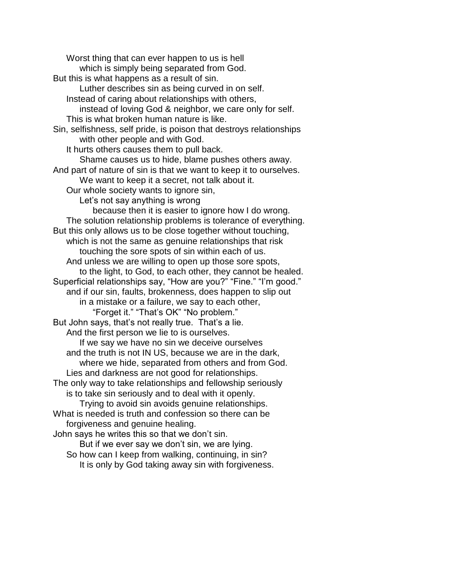Worst thing that can ever happen to us is hell which is simply being separated from God. But this is what happens as a result of sin. Luther describes sin as being curved in on self. Instead of caring about relationships with others, instead of loving God & neighbor, we care only for self. This is what broken human nature is like. Sin, selfishness, self pride, is poison that destroys relationships with other people and with God. It hurts others causes them to pull back. Shame causes us to hide, blame pushes others away. And part of nature of sin is that we want to keep it to ourselves. We want to keep it a secret, not talk about it. Our whole society wants to ignore sin, Let's not say anything is wrong because then it is easier to ignore how I do wrong. The solution relationship problems is tolerance of everything. But this only allows us to be close together without touching, which is not the same as genuine relationships that risk touching the sore spots of sin within each of us. And unless we are willing to open up those sore spots, to the light, to God, to each other, they cannot be healed. Superficial relationships say, "How are you?" "Fine." "I'm good." and if our sin, faults, brokenness, does happen to slip out in a mistake or a failure, we say to each other, "Forget it." "That's OK" "No problem." But John says, that's not really true. That's a lie. And the first person we lie to is ourselves. If we say we have no sin we deceive ourselves and the truth is not IN US, because we are in the dark, where we hide, separated from others and from God. Lies and darkness are not good for relationships. The only way to take relationships and fellowship seriously is to take sin seriously and to deal with it openly. Trying to avoid sin avoids genuine relationships. What is needed is truth and confession so there can be forgiveness and genuine healing. John says he writes this so that we don't sin. But if we ever say we don't sin, we are lying. So how can I keep from walking, continuing, in sin? It is only by God taking away sin with forgiveness.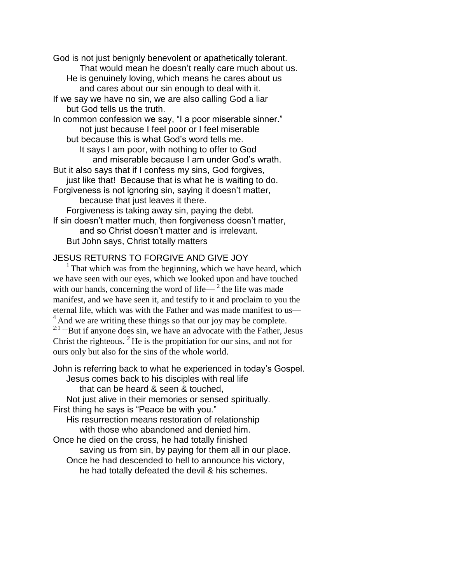God is not just benignly benevolent or apathetically tolerant. That would mean he doesn't really care much about us. He is genuinely loving, which means he cares about us

and cares about our sin enough to deal with it.

If we say we have no sin, we are also calling God a liar but God tells us the truth.

In common confession we say, "I a poor miserable sinner." not just because I feel poor or I feel miserable but because this is what God's word tells me.

It says I am poor, with nothing to offer to God and miserable because I am under God's wrath.

But it also says that if I confess my sins, God forgives, just like that! Because that is what he is waiting to do.

Forgiveness is not ignoring sin, saying it doesn't matter, because that just leaves it there.

Forgiveness is taking away sin, paying the debt. If sin doesn't matter much, then forgiveness doesn't matter, and so Christ doesn't matter and is irrelevant.

But John says, Christ totally matters

## JESUS RETURNS TO FORGIVE AND GIVE JOY

 $<sup>1</sup>$  That which was from the beginning, which we have heard, which</sup> we have seen with our eyes, which we looked upon and have touched with our hands, concerning the word of life— $2$ <sup>the</sup> life was made manifest, and we have seen it, and testify to it and proclaim to you the eternal life, which was with the Father and was made manifest to us— <sup>4</sup>And we are writing these things so that our joy may be complete.  $2:1...$  But if anyone does sin, we have an advocate with the Father, Jesus Christ the righteous.  $2$  He is the propitiation for our sins, and not for ours only but also for the sins of the whole world.

John is referring back to what he experienced in today's Gospel. Jesus comes back to his disciples with real life that can be heard & seen & touched, Not just alive in their memories or sensed spiritually. First thing he says is "Peace be with you." His resurrection means restoration of relationship with those who abandoned and denied him. Once he died on the cross, he had totally finished saving us from sin, by paying for them all in our place. Once he had descended to hell to announce his victory, he had totally defeated the devil & his schemes.